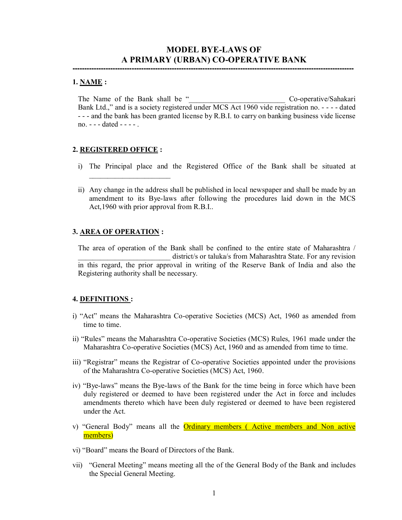# **MODEL BYE-LAWS OF A PRIMARY (URBAN) CO-OPERATIVE BANK**

**-----------------------------------------------------------------------------------------------------------------------**

#### **1. NAME :**

The Name of the Bank shall be " The November 2014 Co-operative/Sahakari Bank Ltd.," and is a society registered under MCS Act 1960 vide registration no. - - - - dated - - - and the bank has been granted license by R.B.I. to carry on banking business vide license no. - - - dated - - - - .

#### **2. REGISTERED OFFICE :**

 $\overline{\phantom{a}}$  , where  $\overline{\phantom{a}}$  , where  $\overline{\phantom{a}}$  , where  $\overline{\phantom{a}}$ 

- i) The Principal place and the Registered Office of the Bank shall be situated at
- ii) Any change in the address shall be published in local newspaper and shall be made by an amendment to its Bye-laws after following the procedures laid down in the MCS Act,1960 with prior approval from R.B.I..

#### **3. AREA OF OPERATION :**

The area of operation of the Bank shall be confined to the entire state of Maharashtra / district/s or taluka/s from Maharashtra State. For any revision in this regard, the prior approval in writing of the Reserve Bank of India and also the Registering authority shall be necessary.

#### **4. DEFINITIONS :**

- i) "Act" means the Maharashtra Co-operative Societies (MCS) Act, 1960 as amended from time to time.
- ii) "Rules" means the Maharashtra Co-operative Societies (MCS) Rules, 1961 made under the Maharashtra Co-operative Societies (MCS) Act, 1960 and as amended from time to time.
- iii) "Registrar" means the Registrar of Co-operative Societies appointed under the provisions of the Maharashtra Co-operative Societies (MCS) Act, 1960.
- iv) "Bye-laws" means the Bye-laws of the Bank for the time being in force which have been duly registered or deemed to have been registered under the Act in force and includes amendments thereto which have been duly registered or deemed to have been registered under the Act.
- v) "General Body" means all the Ordinary members ( Active members and Non active members)
- vi) "Board" means the Board of Directors of the Bank.
- vii) "General Meeting" means meeting all the of the General Body of the Bank and includes the Special General Meeting.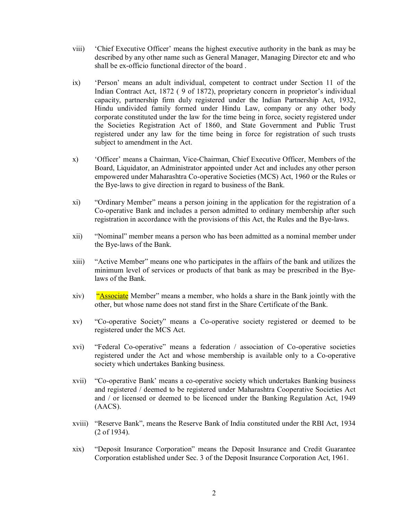- viii) 'Chief Executive Officer' means the highest executive authority in the bank as may be described by any other name such as General Manager, Managing Director etc and who shall be ex-officio functional director of the board .
- ix) 'Person' means an adult individual, competent to contract under Section 11 of the Indian Contract Act, 1872 ( 9 of 1872), proprietary concern in proprietor's individual capacity, partnership firm duly registered under the Indian Partnership Act, 1932, Hindu undivided family formed under Hindu Law, company or any other body corporate constituted under the law for the time being in force, society registered under the Societies Registration Act of 1860, and State Government and Public Trust registered under any law for the time being in force for registration of such trusts subject to amendment in the Act.
- x) 'Officer' means a Chairman, Vice-Chairman, Chief Executive Officer, Members of the Board, Liquidator, an Administrator appointed under Act and includes any other person empowered under Maharashtra Co-operative Societies (MCS) Act, 1960 or the Rules or the Bye-laws to give direction in regard to business of the Bank.
- xi) "Ordinary Member" means a person joining in the application for the registration of a Co-operative Bank and includes a person admitted to ordinary membership after such registration in accordance with the provisions of this Act, the Rules and the Bye-laws.
- xii) "Nominal" member means a person who has been admitted as a nominal member under the Bye-laws of the Bank.
- xiii) "Active Member" means one who participates in the affairs of the bank and utilizes the minimum level of services or products of that bank as may be prescribed in the Byelaws of the Bank.
- xiv) "Associate Member" means a member, who holds a share in the Bank jointly with the other, but whose name does not stand first in the Share Certificate of the Bank.
- xv) "Co-operative Society" means a Co-operative society registered or deemed to be registered under the MCS Act.
- xvi) "Federal Co-operative" means a federation / association of Co-operative societies registered under the Act and whose membership is available only to a Co-operative society which undertakes Banking business.
- xvii) "Co-operative Bank' means a co-operative society which undertakes Banking business and registered / deemed to be registered under Maharashtra Cooperative Societies Act and / or licensed or deemed to be licenced under the Banking Regulation Act, 1949 (AACS).
- xviii) "Reserve Bank", means the Reserve Bank of India constituted under the RBI Act, 1934 (2 of 1934).
- xix) "Deposit Insurance Corporation" means the Deposit Insurance and Credit Guarantee Corporation established under Sec. 3 of the Deposit Insurance Corporation Act, 1961.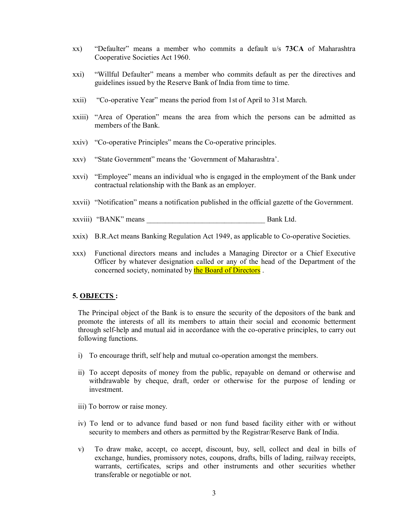- xx) "Defaulter" means a member who commits a default u/s **73CA** of Maharashtra Cooperative Societies Act 1960.
- xxi) "Willful Defaulter" means a member who commits default as per the directives and guidelines issued by the Reserve Bank of India from time to time.
- xxii) "Co-operative Year" means the period from 1st of April to 31st March.
- xxiii) "Area of Operation" means the area from which the persons can be admitted as members of the Bank.
- xxiv) "Co-operative Principles" means the Co-operative principles.
- xxv) "State Government" means the 'Government of Maharashtra'.
- xxvi) "Employee" means an individual who is engaged in the employment of the Bank under contractual relationship with the Bank as an employer.
- xxvii) "Notification" means a notification published in the official gazette of the Government.
- xxviii) "BANK" means Bank Ltd.
- xxix) B.R.Act means Banking Regulation Act 1949, as applicable to Co-operative Societies.
- xxx) Functional directors means and includes a Managing Director or a Chief Executive Officer by whatever designation called or any of the head of the Department of the concerned society, nominated by the Board of Directors .

#### **5. OBJECTS :**

The Principal object of the Bank is to ensure the security of the depositors of the bank and promote the interests of all its members to attain their social and economic betterment through self-help and mutual aid in accordance with the co-operative principles, to carry out following functions.

- i) To encourage thrift, self help and mutual co-operation amongst the members.
- ii) To accept deposits of money from the public, repayable on demand or otherwise and withdrawable by cheque, draft, order or otherwise for the purpose of lending or investment.
- iii) To borrow or raise money.
- iv) To lend or to advance fund based or non fund based facility either with or without security to members and others as permitted by the Registrar/Reserve Bank of India.
- v) To draw make, accept, co accept, discount, buy, sell, collect and deal in bills of exchange, hundies, promissory notes, coupons, drafts, bills of lading, railway receipts, warrants, certificates, scrips and other instruments and other securities whether transferable or negotiable or not.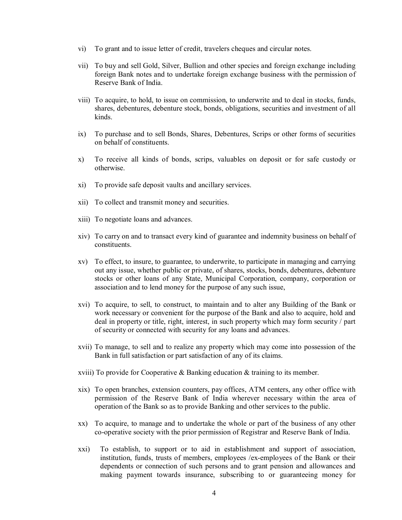- vi) To grant and to issue letter of credit, travelers cheques and circular notes.
- vii) To buy and sell Gold, Silver, Bullion and other species and foreign exchange including foreign Bank notes and to undertake foreign exchange business with the permission of Reserve Bank of India.
- viii) To acquire, to hold, to issue on commission, to underwrite and to deal in stocks, funds, shares, debentures, debenture stock, bonds, obligations, securities and investment of all kinds.
- ix) To purchase and to sell Bonds, Shares, Debentures, Scrips or other forms of securities on behalf of constituents.
- x) To receive all kinds of bonds, scrips, valuables on deposit or for safe custody or otherwise.
- xi) To provide safe deposit vaults and ancillary services.
- xii) To collect and transmit money and securities.
- xiii) To negotiate loans and advances.
- xiv) To carry on and to transact every kind of guarantee and indemnity business on behalf of constituents.
- xv) To effect, to insure, to guarantee, to underwrite, to participate in managing and carrying out any issue, whether public or private, of shares, stocks, bonds, debentures, debenture stocks or other loans of any State, Municipal Corporation, company, corporation or association and to lend money for the purpose of any such issue,
- xvi) To acquire, to sell, to construct, to maintain and to alter any Building of the Bank or work necessary or convenient for the purpose of the Bank and also to acquire, hold and deal in property or title, right, interest, in such property which may form security / part of security or connected with security for any loans and advances.
- xvii) To manage, to sell and to realize any property which may come into possession of the Bank in full satisfaction or part satisfaction of any of its claims.
- xviii) To provide for Cooperative & Banking education & training to its member.
- xix) To open branches, extension counters, pay offices, ATM centers, any other office with permission of the Reserve Bank of India wherever necessary within the area of operation of the Bank so as to provide Banking and other services to the public.
- xx) To acquire, to manage and to undertake the whole or part of the business of any other co-operative society with the prior permission of Registrar and Reserve Bank of India.
- xxi) To establish, to support or to aid in establishment and support of association, institution, funds, trusts of members, employees /ex-employees of the Bank or their dependents or connection of such persons and to grant pension and allowances and making payment towards insurance, subscribing to or guaranteeing money for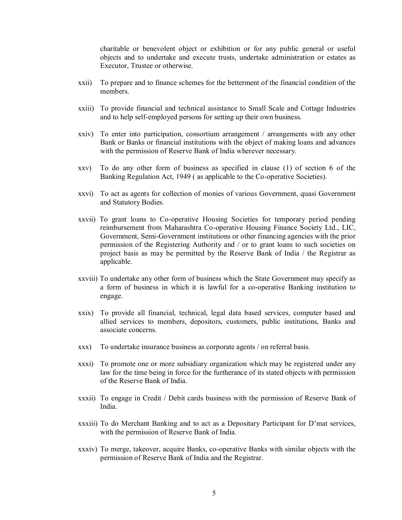charitable or benevolent object or exhibition or for any public general or useful objects and to undertake and execute trusts, undertake administration or estates as Executor, Trustee or otherwise.

- xxii) To prepare and to finance schemes for the betterment of the financial condition of the members.
- xxiii) To provide financial and technical assistance to Small Scale and Cottage Industries and to help self-employed persons for setting up their own business.
- xxiv) To enter into participation, consortium arrangement / arrangements with any other Bank or Banks or financial institutions with the object of making loans and advances with the permission of Reserve Bank of India wherever necessary.
- xxv) To do any other form of business as specified in clause (1) of section 6 of the Banking Regulation Act, 1949 ( as applicable to the Co-operative Societies).
- xxvi) To act as agents for collection of monies of various Government, quasi Government and Statutory Bodies.
- xxvii) To grant loans to Co-operative Housing Societies for temporary period pending reimbursement from Maharashtra Co-operative Housing Finance Society Ltd., LIC, Government, Semi-Government institutions or other financing agencies with the prior permission of the Registering Authority and / or to grant loans to such societies on project basis as may be permitted by the Reserve Bank of India / the Registrar as applicable.
- xxviii) To undertake any other form of business which the State Government may specify as a form of business in which it is lawful for a co-operative Banking institution to engage.
- xxix) To provide all financial, technical, legal data based services, computer based and allied services to members, depositors, customers, public institutions, Banks and associate concerns.
- xxx) To undertake insurance business as corporate agents / on referral basis.
- xxxi) To promote one or more subsidiary organization which may be registered under any law for the time being in force for the furtherance of its stated objects with permission of the Reserve Bank of India.
- xxxii) To engage in Credit / Debit cards business with the permission of Reserve Bank of India.
- xxxiii) To do Merchant Banking and to act as a Depositary Participant for D'mat services, with the permission of Reserve Bank of India.
- xxxiv) To merge, takeover, acquire Banks, co-operative Banks with similar objects with the permission of Reserve Bank of India and the Registrar.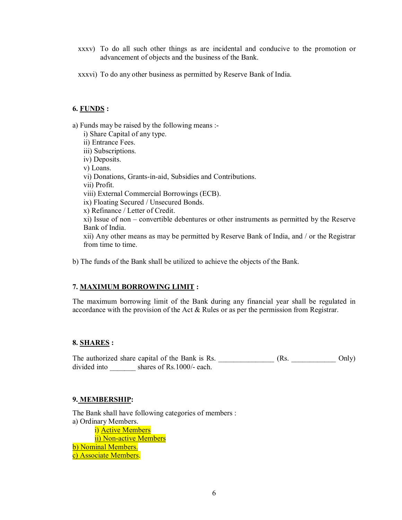- xxxv) To do all such other things as are incidental and conducive to the promotion or advancement of objects and the business of the Bank.
- xxxvi) To do any other business as permitted by Reserve Bank of India.

## **6. FUNDS :**

a) Funds may be raised by the following means :-

- i) Share Capital of any type.
- ii) Entrance Fees.
- iii) Subscriptions.
- iv) Deposits.
- v) Loans.
- vi) Donations, Grants-in-aid, Subsidies and Contributions.
- vii) Profit.
- viii) External Commercial Borrowings (ECB).
- ix) Floating Secured / Unsecured Bonds.
- x) Refinance / Letter of Credit.

xi) Issue of non – convertible debentures or other instruments as permitted by the Reserve Bank of India.

xii) Any other means as may be permitted by Reserve Bank of India, and / or the Registrar from time to time.

b) The funds of the Bank shall be utilized to achieve the objects of the Bank.

# **7. MAXIMUM BORROWING LIMIT :**

The maximum borrowing limit of the Bank during any financial year shall be regulated in accordance with the provision of the Act & Rules or as per the permission from Registrar.

# **8. SHARES :**

The authorized share capital of the Bank is Rs. \_\_\_\_\_\_\_\_\_\_\_\_\_\_\_\_\_\_\_ (Rs. \_\_\_\_\_\_\_\_\_\_\_\_\_\_ Only) divided into shares of Rs.1000/- each.

#### **9. MEMBERSHIP:**

The Bank shall have following categories of members : a) Ordinary Members. i) Active Members ii) Non-active Members b) Nominal Members. c) Associate Members.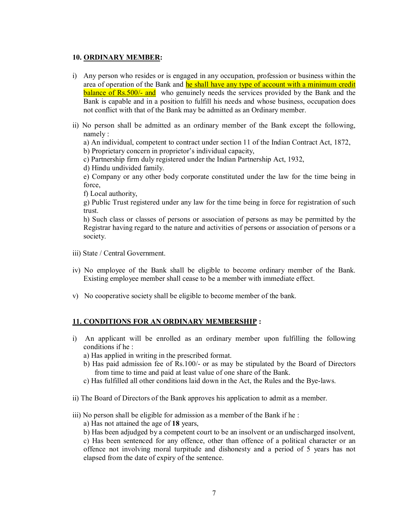## **10. ORDINARY MEMBER:**

- i) Any person who resides or is engaged in any occupation, profession or business within the area of operation of the Bank and he shall have any type of account with a minimum credit **balance of Rs.500/- and** who genuinely needs the services provided by the Bank and the Bank is capable and in a position to fulfill his needs and whose business, occupation does not conflict with that of the Bank may be admitted as an Ordinary member.
- ii) No person shall be admitted as an ordinary member of the Bank except the following, namely :

a) An individual, competent to contract under section 11 of the Indian Contract Act, 1872,

b) Proprietary concern in proprietor's individual capacity,

c) Partnership firm duly registered under the Indian Partnership Act, 1932,

d) Hindu undivided family.

e) Company or any other body corporate constituted under the law for the time being in force,

f) Local authority,

g) Public Trust registered under any law for the time being in force for registration of such trust.

h) Such class or classes of persons or association of persons as may be permitted by the Registrar having regard to the nature and activities of persons or association of persons or a society.

- iii) State / Central Government.
- iv) No employee of the Bank shall be eligible to become ordinary member of the Bank. Existing employee member shall cease to be a member with immediate effect.
- v) No cooperative society shall be eligible to become member of the bank.

# **11. CONDITIONS FOR AN ORDINARY MEMBERSHIP :**

- i) An applicant will be enrolled as an ordinary member upon fulfilling the following conditions if he :
	- a) Has applied in writing in the prescribed format.
	- b) Has paid admission fee of Rs.100/- or as may be stipulated by the Board of Directors from time to time and paid at least value of one share of the Bank.
	- c) Has fulfilled all other conditions laid down in the Act, the Rules and the Bye-laws.
- ii) The Board of Directors of the Bank approves his application to admit as a member.
- iii) No person shall be eligible for admission as a member of the Bank if he :
	- a) Has not attained the age of **18** years,
	- b) Has been adjudged by a competent court to be an insolvent or an undischarged insolvent,

c) Has been sentenced for any offence, other than offence of a political character or an offence not involving moral turpitude and dishonesty and a period of 5 years has not elapsed from the date of expiry of the sentence.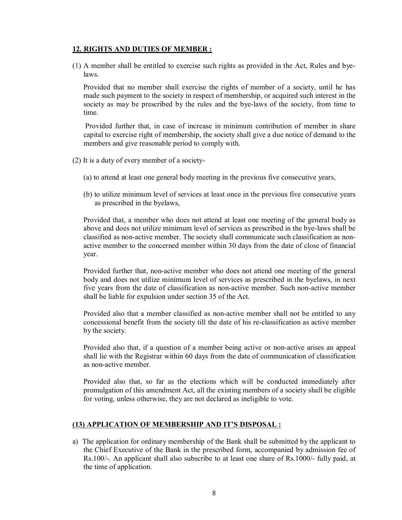# **12. RIGHTS AND DUTIES OF MEMBER :**

(1) A member shall be entitled to exercise such rights as provided in the Act, Rules and byelaws.

Provided that no member shall exercise the rights of member of a society, until he has made such payment to the society in respect of membership, or acquired such interest in the society as may be prescribed by the rules and the bye-laws of the society, from time to time.

Provided further that, in case of increase in minimum contribution of member in share capital to exercise right of membership, the society shall give a due notice of demand to the members and give reasonable period to comply with.

- (2) It is a duty of every member of a society-
	- (a) to attend at least one general body meeting in the previous five consecutive years,
	- (b) to utilize minimum level of services at least once in the previous five consecutive years as prescribed in the byelaws,

Provided that, a member who does not attend at least one meeting of the general body as above and does not utilize minimum level of services as prescribed in the bye-laws shall be classified as non-active member. The society shall communicate such classification as nonactive member to the concerned member within 30 days from the date of close of financial year.

Provided further that, non-active member who does not attend one meeting of the general body and does not utilize minimum level of services as prescribed in the byelaws, in next five years from the date of classification as non-active member. Such non-active member shall be liable for expulsion under section 35 of the Act.

Provided also that a member classified as non-active member shall not be entitled to any concessional benefit from the society till the date of his re-classification as active member by the society.

Provided also that, if a question of a member being active or non-active arises an appeal shall lie with the Registrar within 60 days from the date of communication of classification as non-active member.

Provided also that, so far as the elections which will be conducted immediately after promulgation of this amendment Act, all the existing members of a society shall be eligible for voting, unless otherwise, they are not declared as ineligible to vote.

# **(13) APPLICATION OF MEMBERSHIP AND IT'S DISPOSAL :**

a) The application for ordinary membership of the Bank shall be submitted by the applicant to the Chief Executive of the Bank in the prescribed form, accompanied by admission fee of Rs.100/-. An applicant shall also subscribe to at least one share of Rs.1000/- fully paid, at the time of application.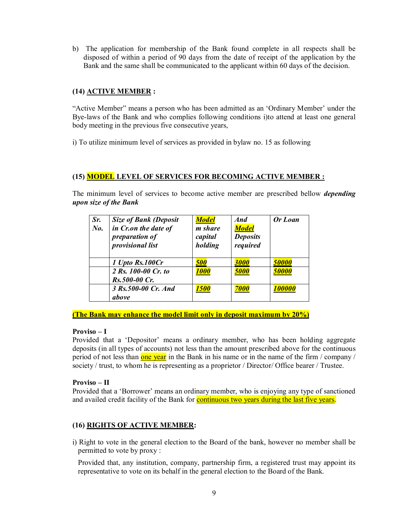b) The application for membership of the Bank found complete in all respects shall be disposed of within a period of 90 days from the date of receipt of the application by the Bank and the same shall be communicated to the applicant within 60 days of the decision.

# **(14) ACTIVE MEMBER :**

"Active Member" means a person who has been admitted as an 'Ordinary Member' under the Bye-laws of the Bank and who complies following conditions i)to attend at least one general body meeting in the previous five consecutive years,

i) To utilize minimum level of services as provided in bylaw no. 15 as following

## **(15) MODEL LEVEL OF SERVICES FOR BECOMING ACTIVE MEMBER :**

The minimum level of services to become active member are prescribed bellow *depending upon size of the Bank*

| Sr.<br>$N_{0}$ . | <b>Size of Bank (Deposit</b><br>in Cr.on the date of<br>preparation of<br><i>provisional list</i> | <b>Model</b><br>m share<br>capital<br>holding | And<br><b>Model</b><br><b>Deposits</b><br>required | Or Loan |
|------------------|---------------------------------------------------------------------------------------------------|-----------------------------------------------|----------------------------------------------------|---------|
|                  | 1 Upto Rs.100Cr                                                                                   | <b>500</b>                                    | 3000                                               | 50000   |
|                  | 2 Rs. 100-00 Cr. to<br>Rs.500-00 Cr.                                                              | <b>1000</b>                                   | 5000                                               | 50000   |
|                  | 3 Rs. 500-00 Cr. And<br>above                                                                     | <b>1500</b>                                   | 7000                                               | 100000  |

**(The Bank may enhance the model limit only in deposit maximum by 20%)**

#### **Proviso – I**

Provided that a 'Depositor' means a ordinary member, who has been holding aggregate deposits (in all types of accounts) not less than the amount prescribed above for the continuous period of not less than one year in the Bank in his name or in the name of the firm / company / society / trust, to whom he is representing as a proprietor / Director / Office bearer / Trustee.

#### **Proviso – II**

Provided that a 'Borrower' means an ordinary member, who is enjoying any type of sanctioned and availed credit facility of the Bank for **continuous two years during the last five years**.

# **(16) RIGHTS OF ACTIVE MEMBER:**

i) Right to vote in the general election to the Board of the bank, however no member shall be permitted to vote by proxy :

Provided that, any institution, company, partnership firm, a registered trust may appoint its representative to vote on its behalf in the general election to the Board of the Bank.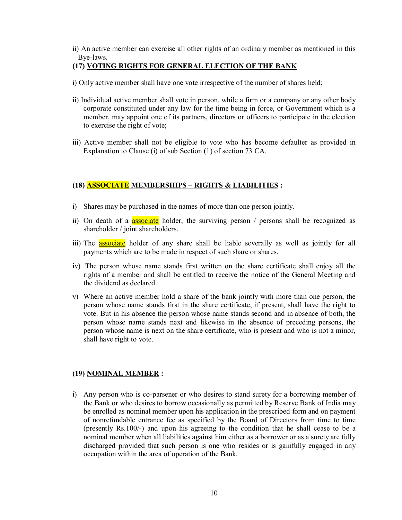ii) An active member can exercise all other rights of an ordinary member as mentioned in this Bye-laws.

## **(17) VOTING RIGHTS FOR GENERAL ELECTION OF THE BANK**

- i) Only active member shall have one vote irrespective of the number of shares held;
- ii) Individual active member shall vote in person, while a firm or a company or any other body corporate constituted under any law for the time being in force, or Government which is a member, may appoint one of its partners, directors or officers to participate in the election to exercise the right of vote;
- iii) Active member shall not be eligible to vote who has become defaulter as provided in Explanation to Clause (i) of sub Section (1) of section 73 CA.

# **(18) ASSOCIATE MEMBERSHIPS – RIGHTS & LIABILITIES :**

- i) Shares may be purchased in the names of more than one person jointly.
- ii) On death of a **associate** holder, the surviving person / persons shall be recognized as shareholder / joint shareholders.
- iii) The **associate** holder of any share shall be liable severally as well as jointly for all payments which are to be made in respect of such share or shares.
- iv) The person whose name stands first written on the share certificate shall enjoy all the rights of a member and shall be entitled to receive the notice of the General Meeting and the dividend as declared.
- v) Where an active member hold a share of the bank jointly with more than one person, the person whose name stands first in the share certificate, if present, shall have the right to vote. But in his absence the person whose name stands second and in absence of both, the person whose name stands next and likewise in the absence of preceding persons, the person whose name is next on the share certificate, who is present and who is not a minor, shall have right to vote.

#### **(19) NOMINAL MEMBER :**

i) Any person who is co-parsener or who desires to stand surety for a borrowing member of the Bank or who desires to borrow occasionally as permitted by Reserve Bank of India may be enrolled as nominal member upon his application in the prescribed form and on payment of nonrefundable entrance fee as specified by the Board of Directors from time to time (presently Rs.100/-) and upon his agreeing to the condition that he shall cease to be a nominal member when all liabilities against him either as a borrower or as a surety are fully discharged provided that such person is one who resides or is gainfully engaged in any occupation within the area of operation of the Bank.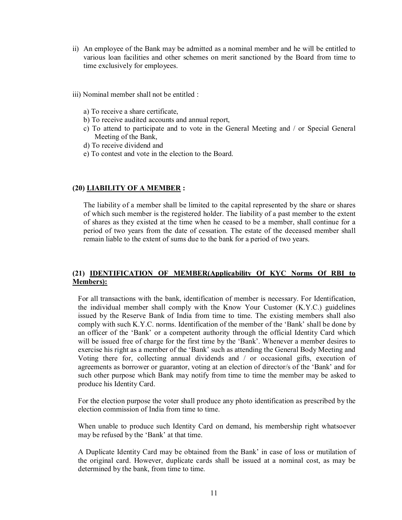- ii) An employee of the Bank may be admitted as a nominal member and he will be entitled to various loan facilities and other schemes on merit sanctioned by the Board from time to time exclusively for employees.
- iii) Nominal member shall not be entitled :
	- a) To receive a share certificate,
	- b) To receive audited accounts and annual report,
	- c) To attend to participate and to vote in the General Meeting and / or Special General Meeting of the Bank,
	- d) To receive dividend and
	- e) To contest and vote in the election to the Board.

#### **(20) LIABILITY OF A MEMBER :**

The liability of a member shall be limited to the capital represented by the share or shares of which such member is the registered holder. The liability of a past member to the extent of shares as they existed at the time when he ceased to be a member, shall continue for a period of two years from the date of cessation. The estate of the deceased member shall remain liable to the extent of sums due to the bank for a period of two years.

## **(21) IDENTIFICATION OF MEMBER(Applicability Of KYC Norms Of RBI to Members):**

For all transactions with the bank, identification of member is necessary. For Identification, the individual member shall comply with the Know Your Customer (K.Y.C.) guidelines issued by the Reserve Bank of India from time to time. The existing members shall also comply with such K.Y.C. norms. Identification of the member of the 'Bank' shall be done by an officer of the 'Bank' or a competent authority through the official Identity Card which will be issued free of charge for the first time by the 'Bank'. Whenever a member desires to exercise his right as a member of the 'Bank' such as attending the General Body Meeting and Voting there for, collecting annual dividends and / or occasional gifts, execution of agreements as borrower or guarantor, voting at an election of director/s of the 'Bank' and for such other purpose which Bank may notify from time to time the member may be asked to produce his Identity Card.

For the election purpose the voter shall produce any photo identification as prescribed by the election commission of India from time to time.

When unable to produce such Identity Card on demand, his membership right whatsoever may be refused by the 'Bank' at that time.

A Duplicate Identity Card may be obtained from the Bank' in case of loss or mutilation of the original card. However, duplicate cards shall be issued at a nominal cost, as may be determined by the bank, from time to time.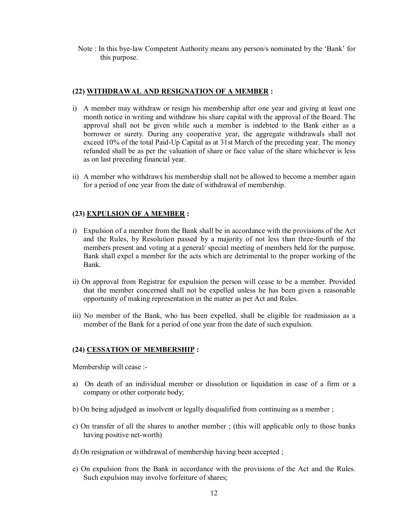Note : In this bye-law Competent Authority means any person/s nominated by the 'Bank' for this purpose.

## **(22) WITHDRAWAL AND RESIGNATION OF A MEMBER :**

- i) A member may withdraw or resign his membership after one year and giving at least one month notice in writing and withdraw his share capital with the approval of the Board. The approval shall not be given while such a member is indebted to the Bank either as a borrower or surety. During any cooperative year, the aggregate withdrawals shall not exceed 10% of the total Paid-Up Capital as at 31st March of the preceding year. The money refunded shall be as per the valuation of share or face value of the share whichever is less as on last preceding financial year.
- ii) A member who withdraws his membership shall not be allowed to become a member again for a period of one year from the date of withdrawal of membership.

## **(23) EXPULSION OF A MEMBER :**

- i) Expulsion of a member from the Bank shall be in accordance with the provisions of the Act and the Rules, by Resolution passed by a majority of not less than three-fourth of the members present and voting at a general/ special meeting of members held for the purpose. Bank shall expel a member for the acts which are detrimental to the proper working of the Bank.
- ii) On approval from Registrar for expulsion the person will cease to be a member. Provided that the member concerned shall not be expelled unless he has been given a reasonable opportunity of making representation in the matter as per Act and Rules.
- iii) No member of the Bank, who has been expelled, shall be eligible for readmission as a member of the Bank for a period of one year from the date of such expulsion.

#### **(24) CESSATION OF MEMBERSHIP :**

Membership will cease :-

- a) On death of an individual member or dissolution or liquidation in case of a firm or a company or other corporate body;
- b) On being adjudged as insolvent or legally disqualified from continuing as a member ;
- c) On transfer of all the shares to another member ; (this will applicable only to those banks having positive net-worth)
- d) On resignation or withdrawal of membership having been accepted ;
- e) On expulsion from the Bank in accordance with the provisions of the Act and the Rules. Such expulsion may involve forfeiture of shares;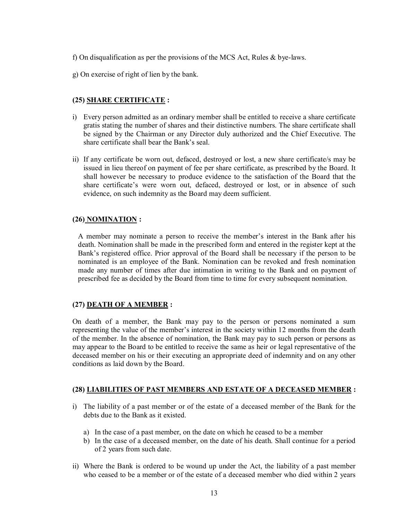f) On disqualification as per the provisions of the MCS Act, Rules & bye-laws.

g) On exercise of right of lien by the bank.

# **(25) SHARE CERTIFICATE :**

- i) Every person admitted as an ordinary member shall be entitled to receive a share certificate gratis stating the number of shares and their distinctive numbers. The share certificate shall be signed by the Chairman or any Director duly authorized and the Chief Executive. The share certificate shall bear the Bank's seal.
- ii) If any certificate be worn out, defaced, destroyed or lost, a new share certificate/s may be issued in lieu thereof on payment of fee per share certificate, as prescribed by the Board. It shall however be necessary to produce evidence to the satisfaction of the Board that the share certificate's were worn out, defaced, destroyed or lost, or in absence of such evidence, on such indemnity as the Board may deem sufficient.

# **(26) NOMINATION :**

A member may nominate a person to receive the member's interest in the Bank after his death. Nomination shall be made in the prescribed form and entered in the register kept at the Bank's registered office. Prior approval of the Board shall be necessary if the person to be nominated is an employee of the Bank. Nomination can be revoked and fresh nomination made any number of times after due intimation in writing to the Bank and on payment of prescribed fee as decided by the Board from time to time for every subsequent nomination.

# **(27) DEATH OF A MEMBER :**

On death of a member, the Bank may pay to the person or persons nominated a sum representing the value of the member's interest in the society within 12 months from the death of the member. In the absence of nomination, the Bank may pay to such person or persons as may appear to the Board to be entitled to receive the same as heir or legal representative of the deceased member on his or their executing an appropriate deed of indemnity and on any other conditions as laid down by the Board.

#### **(28) LIABILITIES OF PAST MEMBERS AND ESTATE OF A DECEASED MEMBER :**

- i) The liability of a past member or of the estate of a deceased member of the Bank for the debts due to the Bank as it existed.
	- a) In the case of a past member, on the date on which he ceased to be a member
	- b) In the case of a deceased member, on the date of his death. Shall continue for a period of 2 years from such date.
- ii) Where the Bank is ordered to be wound up under the Act, the liability of a past member who ceased to be a member or of the estate of a deceased member who died within 2 years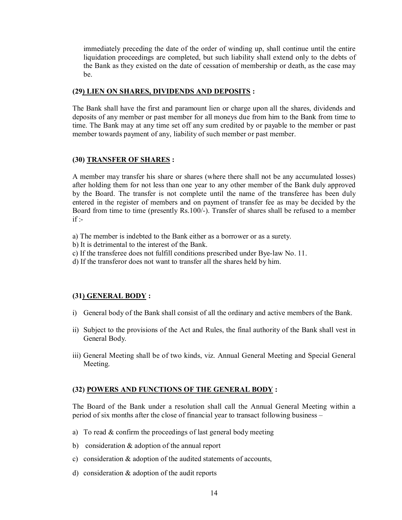immediately preceding the date of the order of winding up, shall continue until the entire liquidation proceedings are completed, but such liability shall extend only to the debts of the Bank as they existed on the date of cessation of membership or death, as the case may be.

## **(29) LIEN ON SHARES, DIVIDENDS AND DEPOSITS :**

The Bank shall have the first and paramount lien or charge upon all the shares, dividends and deposits of any member or past member for all moneys due from him to the Bank from time to time. The Bank may at any time set off any sum credited by or payable to the member or past member towards payment of any, liability of such member or past member.

## **(30) TRANSFER OF SHARES :**

A member may transfer his share or shares (where there shall not be any accumulated losses) after holding them for not less than one year to any other member of the Bank duly approved by the Board. The transfer is not complete until the name of the transferee has been duly entered in the register of members and on payment of transfer fee as may be decided by the Board from time to time (presently Rs.100/-). Transfer of shares shall be refused to a member  $if -$ 

- a) The member is indebted to the Bank either as a borrower or as a surety.
- b) It is detrimental to the interest of the Bank.
- c) If the transferee does not fulfill conditions prescribed under Bye-law No. 11.
- d) If the transferor does not want to transfer all the shares held by him.

# **(31) GENERAL BODY :**

- i) General body of the Bank shall consist of all the ordinary and active members of the Bank.
- ii) Subject to the provisions of the Act and Rules, the final authority of the Bank shall vest in General Body.
- iii) General Meeting shall be of two kinds, viz. Annual General Meeting and Special General Meeting.

# **(32) POWERS AND FUNCTIONS OF THE GENERAL BODY :**

The Board of the Bank under a resolution shall call the Annual General Meeting within a period of six months after the close of financial year to transact following business –

- a) To read & confirm the proceedings of last general body meeting
- b) consideration & adoption of the annual report
- c) consideration & adoption of the audited statements of accounts,
- d) consideration & adoption of the audit reports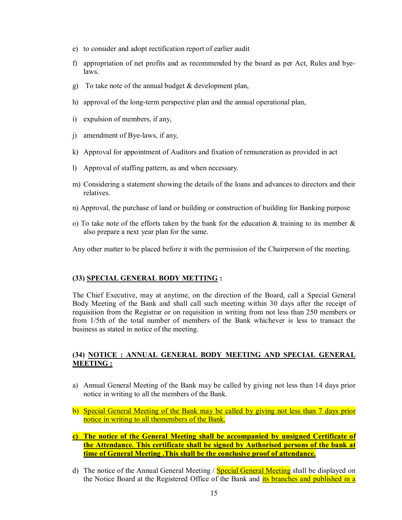- e) to consider and adopt rectification report of earlier audit
- f) appropriation of net profits and as recommended by the board as per Act, Rules and byelaws.
- g) To take note of the annual budget  $&$  development plan,
- h) approval of the long-term perspective plan and the annual operational plan,
- i) expulsion of members, if any,
- j) amendment of Bye-laws, if any,
- k) Approval for appointment of Auditors and fixation of remuneration as provided in act
- l) Approval of staffing pattern, as and when necessary.
- m) Considering a statement showing the details of the loans and advances to directors and their relatives.
- n) Approval, the purchase of land or building or construction of building for Banking purpose
- o) To take note of the efforts taken by the bank for the education  $\&$  training to its member  $\&$ also prepare a next year plan for the same.
- Any other matter to be placed before it with the permission of the Chairperson of the meeting.

#### **(33) SPECIAL GENERAL BODY METTING :**

The Chief Executive, may at anytime, on the direction of the Board, call a Special General Body Meeting of the Bank and shall call such meeting within 30 days after the receipt of requisition from the Registrar or on requisition in writing from not less than 250 members or from 1/5th of the total number of members of the Bank whichever is less to transact the business as stated in notice of the meeting.

## **(34) NOTICE : ANNUAL GENERAL BODY MEETING AND SPECIAL GENERAL MEETING :**

- a) Annual General Meeting of the Bank may be called by giving not less than 14 days prior notice in writing to all the members of the Bank.
- b) Special General Meeting of the Bank may be called by giving not less than 7 days prior notice in writing to all themembers of the Bank.
- **c) The notice of the General Meeting shall be accompanied by unsigned Certificate of the Attendance. This certificate shall be signed by Authorised persons of the bank at time of General Meeting .This shall be the conclusive proof of attendance.**
- d) The notice of the Annual General Meeting / Special General Meeting shall be displayed on the Notice Board at the Registered Office of the Bank and its branches and published in a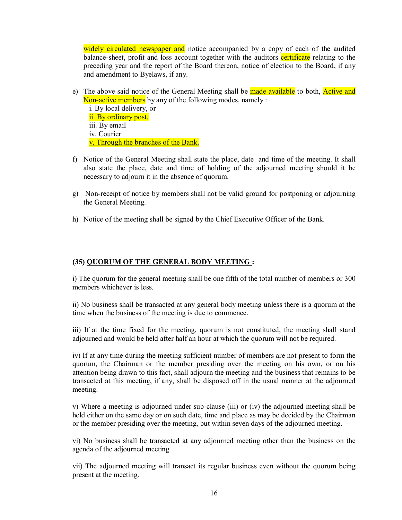widely circulated newspaper and notice accompanied by a copy of each of the audited balance-sheet, profit and loss account together with the auditors certificate relating to the preceding year and the report of the Board thereon, notice of election to the Board, if any and amendment to Byelaws, if any.

e) The above said notice of the General Meeting shall be made available to both, **Active and** Non-active members by any of the following modes, namely :

i. By local delivery, or ii. By ordinary post, iii. By email iv. Courier v. Through the branches of the Bank.

- f) Notice of the General Meeting shall state the place, date and time of the meeting. It shall also state the place, date and time of holding of the adjourned meeting should it be necessary to adjourn it in the absence of quorum.
- g) Non-receipt of notice by members shall not be valid ground for postponing or adjourning the General Meeting.
- h) Notice of the meeting shall be signed by the Chief Executive Officer of the Bank.

# **(35) QUORUM OF THE GENERAL BODY MEETING :**

i) The quorum for the general meeting shall be one fifth of the total number of members or 300 members whichever is less.

ii) No business shall be transacted at any general body meeting unless there is a quorum at the time when the business of the meeting is due to commence.

iii) If at the time fixed for the meeting, quorum is not constituted, the meeting shall stand adjourned and would be held after half an hour at which the quorum will not be required.

iv) If at any time during the meeting sufficient number of members are not present to form the quorum, the Chairman or the member presiding over the meeting on his own, or on his attention being drawn to this fact, shall adjourn the meeting and the business that remains to be transacted at this meeting, if any, shall be disposed off in the usual manner at the adjourned meeting.

v) Where a meeting is adjourned under sub-clause (iii) or (iv) the adjourned meeting shall be held either on the same day or on such date, time and place as may be decided by the Chairman or the member presiding over the meeting, but within seven days of the adjourned meeting.

vi) No business shall be transacted at any adjourned meeting other than the business on the agenda of the adjourned meeting.

vii) The adjourned meeting will transact its regular business even without the quorum being present at the meeting.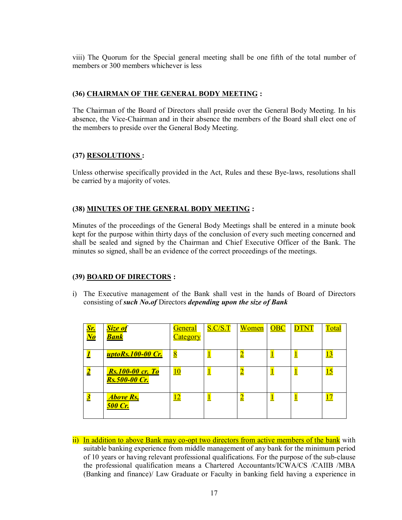viii) The Quorum for the Special general meeting shall be one fifth of the total number of members or 300 members whichever is less

# **(36) CHAIRMAN OF THE GENERAL BODY MEETING :**

The Chairman of the Board of Directors shall preside over the General Body Meeting. In his absence, the Vice-Chairman and in their absence the members of the Board shall elect one of the members to preside over the General Body Meeting.

# **(37) RESOLUTIONS :**

Unless otherwise specifically provided in the Act, Rules and these Bye-laws, resolutions shall be carried by a majority of votes.

# **(38) MINUTES OF THE GENERAL BODY MEETING :**

Minutes of the proceedings of the General Body Meetings shall be entered in a minute book kept for the purpose within thirty days of the conclusion of every such meeting concerned and shall be sealed and signed by the Chairman and Chief Executive Officer of the Bank. The minutes so signed, shall be an evidence of the correct proceedings of the meetings.

#### **(39) BOARD OF DIRECTORS :**

i) The Executive management of the Bank shall vest in the hands of Board of Directors consisting of *such No.of* Directors *depending upon the size of Bank*

| <mark>Sr.</mark><br>No | <b>Size of</b><br><b>Bank</b>                   | <b>General</b><br><u>Category</u> | S.C/S.T | Women | OBC | <b>DTNT</b> | Total      |
|------------------------|-------------------------------------------------|-----------------------------------|---------|-------|-----|-------------|------------|
|                        | <u>uptoRs.100-00 Cr.</u>                        | $\overline{8}$                    |         |       |     |             | 13         |
|                        | <b>Rs.100-00 cr. To</b><br><b>Rs.500-00 Cr.</b> | 10                                | щ       | ∠     | ட   | ┻           | <u> 15</u> |
| $\bf{3}$               | <b>Above Rs,</b><br><b>500 Cr.</b>              |                                   |         | ∸     | ┻   | 빌           |            |

ii) In addition to above Bank may co-opt two directors from active members of the bank with suitable banking experience from middle management of any bank for the minimum period of 10 years or having relevant professional qualifications. For the purpose of the sub-clause the professional qualification means a Chartered Accountants/ICWA/CS /CAIIB /MBA (Banking and finance)/ Law Graduate or Faculty in banking field having a experience in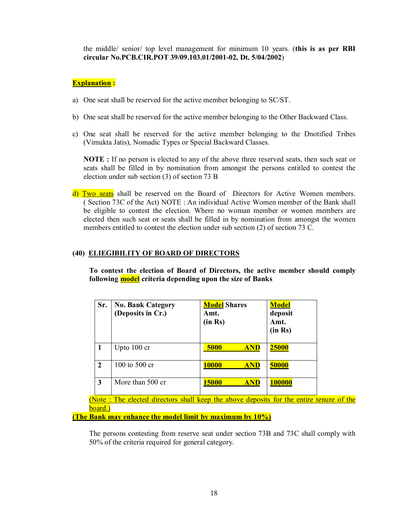the middle/ senior/ top level management for minimum 10 years. (**this is as per RBI circular No.PCB.CIR.POT 39/09.103.01/2001-02, Dt. 5/04/2002**)

# **Explanation :**

- a) One seat shall be reserved for the active member belonging to SC/ST.
- b) One seat shall be reserved for the active member belonging to the Other Backward Class.
- c) One seat shall be reserved for the active member belonging to the Dnotified Tribes (Vimukta Jatis), Nomadic Types or Special Backward Classes.

**NOTE :** If no person is elected to any of the above three reserved seats, then such seat or seats shall be filled in by nomination from amongst the persons entitled to contest the election under sub section (3) of section 73 B

d) Two seats shall be reserved on the Board of Directors for Active Women members. ( Section 73C of the Act) NOTE : An individual Active Women member of the Bank shall be eligible to contest the election. Where no woman member or women members are elected then such seat or seats shall be filled in by nomination from amongst the women members entitled to contest the election under sub section (2) of section 73 C.

# **(40) ELIEGIBILITY OF BOARD OF DIRECTORS**

**To contest the election of Board of Directors, the active member should comply following model criteria depending upon the size of Banks**

| Sr.            | <b>No. Bank Category</b><br>(Deposits in Cr.) | <b>Model</b> Shares<br>Amt.<br>(in Rs) | <b>Model</b><br>deposit<br>Amt.<br>(in Rs) |
|----------------|-----------------------------------------------|----------------------------------------|--------------------------------------------|
|                | Upto $100$ cr                                 | 5000<br><b>AND</b>                     | <b>25000</b>                               |
| $\overline{2}$ | 100 to 500 cr                                 | <b>10000</b><br><b>AND</b>             | 50000                                      |
| 3              | More than 500 cr                              | 15000<br><b>ND</b>                     | 100000                                     |

(Note : The elected directors shall keep the above deposits for the entire tenure of the board.)

**(The Bank may enhance the model limit by maximum by 10%)**

The persons contesting from reserve seat under section 73B and 73C shall comply with 50% of the criteria required for general category.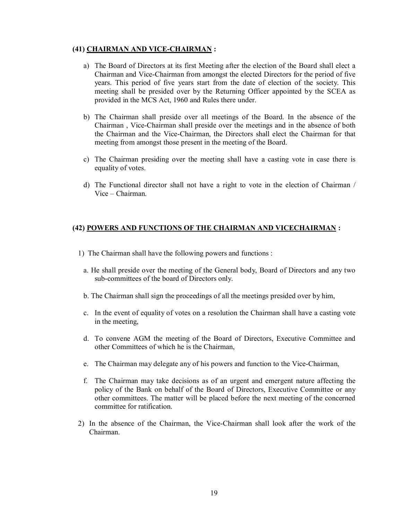# **(41) CHAIRMAN AND VICE-CHAIRMAN :**

- a) The Board of Directors at its first Meeting after the election of the Board shall elect a Chairman and Vice-Chairman from amongst the elected Directors for the period of five years. This period of five years start from the date of election of the society. This meeting shall be presided over by the Returning Officer appointed by the SCEA as provided in the MCS Act, 1960 and Rules there under.
- b) The Chairman shall preside over all meetings of the Board. In the absence of the Chairman , Vice-Chairman shall preside over the meetings and in the absence of both the Chairman and the Vice-Chairman, the Directors shall elect the Chairman for that meeting from amongst those present in the meeting of the Board.
- c) The Chairman presiding over the meeting shall have a casting vote in case there is equality of votes.
- d) The Functional director shall not have a right to vote in the election of Chairman / Vice – Chairman.

# **(42) POWERS AND FUNCTIONS OF THE CHAIRMAN AND VICECHAIRMAN :**

- 1) The Chairman shall have the following powers and functions :
	- a. He shall preside over the meeting of the General body, Board of Directors and any two sub-committees of the board of Directors only.
	- b. The Chairman shall sign the proceedings of all the meetings presided over by him,
	- c. In the event of equality of votes on a resolution the Chairman shall have a casting vote in the meeting,
	- d. To convene AGM the meeting of the Board of Directors, Executive Committee and other Committees of which he is the Chairman,
	- e. The Chairman may delegate any of his powers and function to the Vice-Chairman,
	- f. The Chairman may take decisions as of an urgent and emergent nature affecting the policy of the Bank on behalf of the Board of Directors, Executive Committee or any other committees. The matter will be placed before the next meeting of the concerned committee for ratification.
- 2) In the absence of the Chairman, the Vice-Chairman shall look after the work of the Chairman.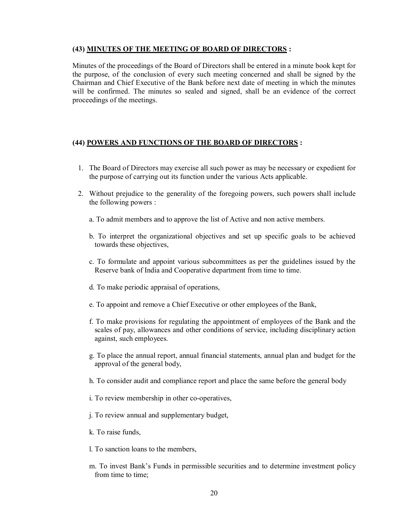# **(43) MINUTES OF THE MEETING OF BOARD OF DIRECTORS :**

Minutes of the proceedings of the Board of Directors shall be entered in a minute book kept for the purpose, of the conclusion of every such meeting concerned and shall be signed by the Chairman and Chief Executive of the Bank before next date of meeting in which the minutes will be confirmed. The minutes so sealed and signed, shall be an evidence of the correct proceedings of the meetings.

# **(44) POWERS AND FUNCTIONS OF THE BOARD OF DIRECTORS :**

- 1. The Board of Directors may exercise all such power as may be necessary or expedient for the purpose of carrying out its function under the various Acts applicable.
- 2. Without prejudice to the generality of the foregoing powers, such powers shall include the following powers :
	- a. To admit members and to approve the list of Active and non active members.
	- b. To interpret the organizational objectives and set up specific goals to be achieved towards these objectives,
	- c. To formulate and appoint various subcommittees as per the guidelines issued by the Reserve bank of India and Cooperative department from time to time.
	- d. To make periodic appraisal of operations,
	- e. To appoint and remove a Chief Executive or other employees of the Bank,
	- f. To make provisions for regulating the appointment of employees of the Bank and the scales of pay, allowances and other conditions of service, including disciplinary action against, such employees.
	- g. To place the annual report, annual financial statements, annual plan and budget for the approval of the general body,
	- h. To consider audit and compliance report and place the same before the general body
	- i. To review membership in other co-operatives,
	- j. To review annual and supplementary budget,
	- k. To raise funds,
	- l. To sanction loans to the members,
	- m. To invest Bank's Funds in permissible securities and to determine investment policy from time to time: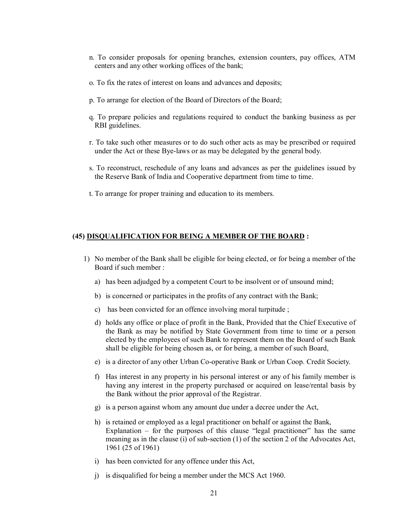- n. To consider proposals for opening branches, extension counters, pay offices, ATM centers and any other working offices of the bank;
- o. To fix the rates of interest on loans and advances and deposits;
- p. To arrange for election of the Board of Directors of the Board;
- q. To prepare policies and regulations required to conduct the banking business as per RBI guidelines.
- r. To take such other measures or to do such other acts as may be prescribed or required under the Act or these Bye-laws or as may be delegated by the general body.
- s. To reconstruct, reschedule of any loans and advances as per the guidelines issued by the Reserve Bank of India and Cooperative department from time to time.
- t. To arrange for proper training and education to its members.

#### **(45) DISQUALIFICATION FOR BEING A MEMBER OF THE BOARD :**

- 1) No member of the Bank shall be eligible for being elected, or for being a member of the Board if such member :
	- a) has been adjudged by a competent Court to be insolvent or of unsound mind;
	- b) is concerned or participates in the profits of any contract with the Bank;
	- c) has been convicted for an offence involving moral turpitude ;
	- d) holds any office or place of profit in the Bank, Provided that the Chief Executive of the Bank as may be notified by State Government from time to time or a person elected by the employees of such Bank to represent them on the Board of such Bank shall be eligible for being chosen as, or for being, a member of such Board,
	- e) is a director of any other Urban Co-operative Bank or Urban Coop. Credit Society.
	- f) Has interest in any property in his personal interest or any of his family member is having any interest in the property purchased or acquired on lease/rental basis by the Bank without the prior approval of the Registrar.
	- g) is a person against whom any amount due under a decree under the Act,
	- h) is retained or employed as a legal practitioner on behalf or against the Bank, Explanation – for the purposes of this clause "legal practitioner" has the same meaning as in the clause (i) of sub-section (1) of the section 2 of the Advocates Act, 1961 (25 of 1961)
	- i) has been convicted for any offence under this Act,
	- j) is disqualified for being a member under the MCS Act 1960.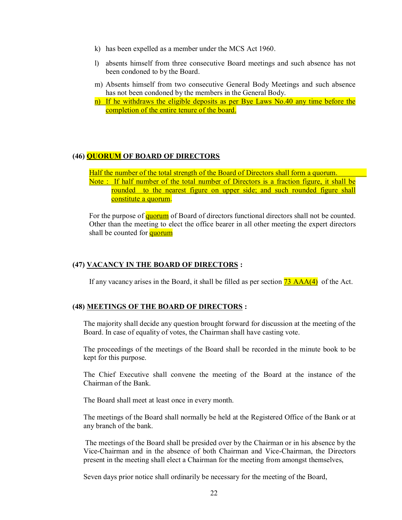- k) has been expelled as a member under the MCS Act 1960.
- l) absents himself from three consecutive Board meetings and such absence has not been condoned to by the Board.
- m) Absents himself from two consecutive General Body Meetings and such absence has not been condoned by the members in the General Body.
- n) If he withdraws the eligible deposits as per Bye Laws No.40 any time before the completion of the entire tenure of the board.

#### **(46) QUORUM OF BOARD OF DIRECTORS**

Half the number of the total strength of the Board of Directors shall form a quorum. Note : If half number of the total number of Directors is a fraction figure, it shall be rounded to the nearest figure on upper side; and such rounded figure shall constitute a quorum.

For the purpose of quorum of Board of directors functional directors shall not be counted. Other than the meeting to elect the office bearer in all other meeting the expert directors shall be counted for **quorum** 

#### **(47) VACANCY IN THE BOARD OF DIRECTORS :**

If any vacancy arises in the Board, it shall be filled as per section  $\overline{73 \text{ AAA}(4)}$  of the Act.

## **(48) MEETINGS OF THE BOARD OF DIRECTORS :**

The majority shall decide any question brought forward for discussion at the meeting of the Board. In case of equality of votes, the Chairman shall have casting vote.

The proceedings of the meetings of the Board shall be recorded in the minute book to be kept for this purpose.

The Chief Executive shall convene the meeting of the Board at the instance of the Chairman of the Bank.

The Board shall meet at least once in every month.

The meetings of the Board shall normally be held at the Registered Office of the Bank or at any branch of the bank.

The meetings of the Board shall be presided over by the Chairman or in his absence by the Vice-Chairman and in the absence of both Chairman and Vice-Chairman, the Directors present in the meeting shall elect a Chairman for the meeting from amongst themselves,

Seven days prior notice shall ordinarily be necessary for the meeting of the Board,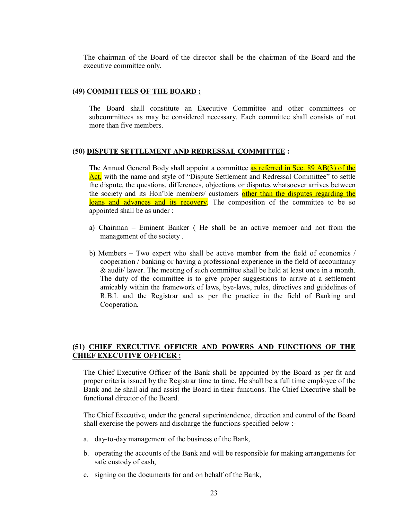The chairman of the Board of the director shall be the chairman of the Board and the executive committee only.

#### **(49) COMMITTEES OF THE BOARD :**

The Board shall constitute an Executive Committee and other committees or subcommittees as may be considered necessary, Each committee shall consists of not more than five members.

#### **(50) DISPUTE SETTLEMENT AND REDRESSAL COMMITTEE :**

The Annual General Body shall appoint a committee **as referred in Sec. 89 AB(3)** of the Act, with the name and style of "Dispute Settlement and Redressal Committee" to settle the dispute, the questions, differences, objections or disputes whatsoever arrives between the society and its Hon'ble members/ customers other than the disputes regarding the loans and advances and its recovery. The composition of the committee to be so appointed shall be as under :

- a) Chairman Eminent Banker ( He shall be an active member and not from the management of the society .
- b) Members Two expert who shall be active member from the field of economics / cooperation / banking or having a professional experience in the field of accountancy & audit/ lawer. The meeting of such committee shall be held at least once in a month. The duty of the committee is to give proper suggestions to arrive at a settlement amicably within the framework of laws, bye-laws, rules, directives and guidelines of R.B.I. and the Registrar and as per the practice in the field of Banking and Cooperation.

# **(51) CHIEF EXECUTIVE OFFICER AND POWERS AND FUNCTIONS OF THE CHIEF EXECUTIVE OFFICER :**

The Chief Executive Officer of the Bank shall be appointed by the Board as per fit and proper criteria issued by the Registrar time to time. He shall be a full time employee of the Bank and he shall aid and assist the Board in their functions. The Chief Executive shall be functional director of the Board.

The Chief Executive, under the general superintendence, direction and control of the Board shall exercise the powers and discharge the functions specified below :-

- a. day-to-day management of the business of the Bank,
- b. operating the accounts of the Bank and will be responsible for making arrangements for safe custody of cash,
- c. signing on the documents for and on behalf of the Bank,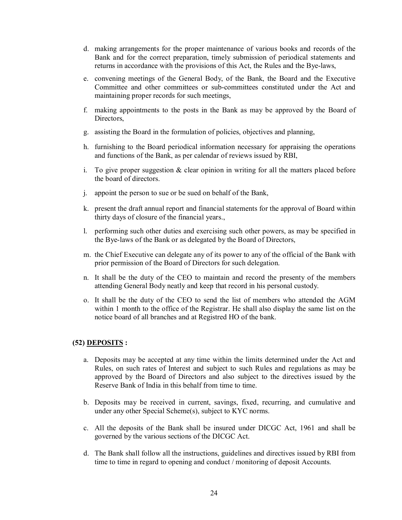- d. making arrangements for the proper maintenance of various books and records of the Bank and for the correct preparation, timely submission of periodical statements and returns in accordance with the provisions of this Act, the Rules and the Bye-laws,
- e. convening meetings of the General Body, of the Bank, the Board and the Executive Committee and other committees or sub-committees constituted under the Act and maintaining proper records for such meetings,
- f. making appointments to the posts in the Bank as may be approved by the Board of Directors,
- g. assisting the Board in the formulation of policies, objectives and planning,
- h. furnishing to the Board periodical information necessary for appraising the operations and functions of the Bank, as per calendar of reviews issued by RBI,
- i. To give proper suggestion  $\&$  clear opinion in writing for all the matters placed before the board of directors.
- j. appoint the person to sue or be sued on behalf of the Bank,
- k. present the draft annual report and financial statements for the approval of Board within thirty days of closure of the financial years.,
- l. performing such other duties and exercising such other powers, as may be specified in the Bye-laws of the Bank or as delegated by the Board of Directors,
- m. the Chief Executive can delegate any of its power to any of the official of the Bank with prior permission of the Board of Directors for such delegation.
- n. It shall be the duty of the CEO to maintain and record the presenty of the members attending General Body neatly and keep that record in his personal custody.
- o. It shall be the duty of the CEO to send the list of members who attended the AGM within 1 month to the office of the Registrar. He shall also display the same list on the notice board of all branches and at Registred HO of the bank.

# **(52) DEPOSITS :**

- a. Deposits may be accepted at any time within the limits determined under the Act and Rules, on such rates of Interest and subject to such Rules and regulations as may be approved by the Board of Directors and also subject to the directives issued by the Reserve Bank of India in this behalf from time to time.
- b. Deposits may be received in current, savings, fixed, recurring, and cumulative and under any other Special Scheme(s), subject to KYC norms.
- c. All the deposits of the Bank shall be insured under DICGC Act, 1961 and shall be governed by the various sections of the DICGC Act.
- d. The Bank shall follow all the instructions, guidelines and directives issued by RBI from time to time in regard to opening and conduct / monitoring of deposit Accounts.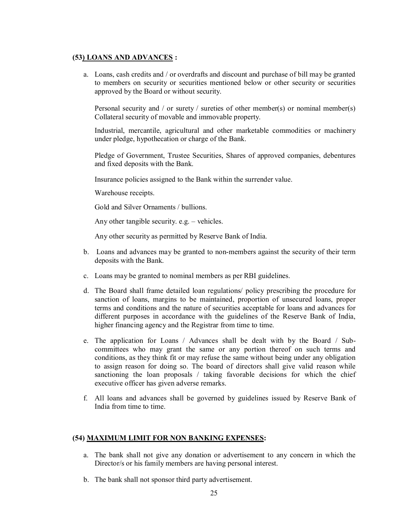## **(53) LOANS AND ADVANCES :**

a. Loans, cash credits and / or overdrafts and discount and purchase of bill may be granted to members on security or securities mentioned below or other security or securities approved by the Board or without security.

Personal security and / or surety / sureties of other member(s) or nominal member(s) Collateral security of movable and immovable property.

Industrial, mercantile, agricultural and other marketable commodities or machinery under pledge, hypothecation or charge of the Bank.

Pledge of Government, Trustee Securities, Shares of approved companies, debentures and fixed deposits with the Bank.

Insurance policies assigned to the Bank within the surrender value.

Warehouse receipts.

Gold and Silver Ornaments / bullions.

Any other tangible security. e.g. – vehicles.

Any other security as permitted by Reserve Bank of India.

- b. Loans and advances may be granted to non-members against the security of their term deposits with the Bank.
- c. Loans may be granted to nominal members as per RBI guidelines.
- d. The Board shall frame detailed loan regulations/ policy prescribing the procedure for sanction of loans, margins to be maintained, proportion of unsecured loans, proper terms and conditions and the nature of securities acceptable for loans and advances for different purposes in accordance with the guidelines of the Reserve Bank of India, higher financing agency and the Registrar from time to time.
- e. The application for Loans / Advances shall be dealt with by the Board / Subcommittees who may grant the same or any portion thereof on such terms and conditions, as they think fit or may refuse the same without being under any obligation to assign reason for doing so. The board of directors shall give valid reason while sanctioning the loan proposals / taking favorable decisions for which the chief executive officer has given adverse remarks.
- f. All loans and advances shall be governed by guidelines issued by Reserve Bank of India from time to time.

#### **(54) MAXIMUM LIMIT FOR NON BANKING EXPENSES:**

- a. The bank shall not give any donation or advertisement to any concern in which the Director/s or his family members are having personal interest.
- b. The bank shall not sponsor third party advertisement.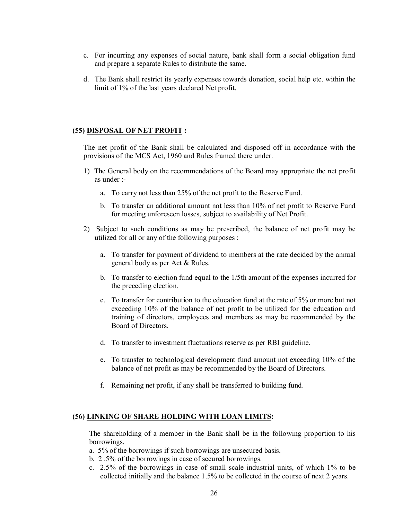- c. For incurring any expenses of social nature, bank shall form a social obligation fund and prepare a separate Rules to distribute the same.
- d. The Bank shall restrict its yearly expenses towards donation, social help etc. within the limit of 1% of the last years declared Net profit.

#### **(55) DISPOSAL OF NET PROFIT :**

The net profit of the Bank shall be calculated and disposed off in accordance with the provisions of the MCS Act, 1960 and Rules framed there under.

- 1) The General body on the recommendations of the Board may appropriate the net profit as under :
	- a. To carry not less than 25% of the net profit to the Reserve Fund.
	- b. To transfer an additional amount not less than 10% of net profit to Reserve Fund for meeting unforeseen losses, subject to availability of Net Profit.
- 2) Subject to such conditions as may be prescribed, the balance of net profit may be utilized for all or any of the following purposes :
	- a. To transfer for payment of dividend to members at the rate decided by the annual general body as per Act & Rules.
	- b. To transfer to election fund equal to the 1/5th amount of the expenses incurred for the preceding election.
	- c. To transfer for contribution to the education fund at the rate of 5% or more but not exceeding 10% of the balance of net profit to be utilized for the education and training of directors, employees and members as may be recommended by the Board of Directors.
	- d. To transfer to investment fluctuations reserve as per RBI guideline.
	- e. To transfer to technological development fund amount not exceeding 10% of the balance of net profit as may be recommended by the Board of Directors.
	- f. Remaining net profit, if any shall be transferred to building fund.

#### **(56) LINKING OF SHARE HOLDING WITH LOAN LIMITS:**

The shareholding of a member in the Bank shall be in the following proportion to his borrowings.

a. 5% of the borrowings if such borrowings are unsecured basis.

- b. 2 .5% of the borrowings in case of secured borrowings.
- c. 2.5% of the borrowings in case of small scale industrial units, of which 1% to be collected initially and the balance 1.5% to be collected in the course of next 2 years.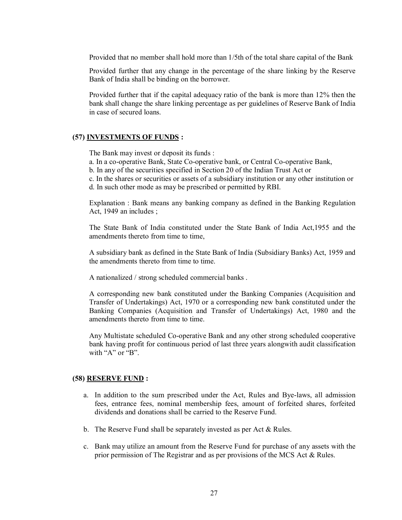Provided that no member shall hold more than 1/5th of the total share capital of the Bank

Provided further that any change in the percentage of the share linking by the Reserve Bank of India shall be binding on the borrower.

Provided further that if the capital adequacy ratio of the bank is more than 12% then the bank shall change the share linking percentage as per guidelines of Reserve Bank of India in case of secured loans.

#### **(57) INVESTMENTS OF FUNDS :**

The Bank may invest or deposit its funds :

- a. In a co-operative Bank, State Co-operative bank, or Central Co-operative Bank,
- b. In any of the securities specified in Section 20 of the Indian Trust Act or
- c. In the shares or securities or assets of a subsidiary institution or any other institution or
- d. In such other mode as may be prescribed or permitted by RBI.

Explanation : Bank means any banking company as defined in the Banking Regulation Act, 1949 an includes ;

The State Bank of India constituted under the State Bank of India Act,1955 and the amendments thereto from time to time.

A subsidiary bank as defined in the State Bank of India (Subsidiary Banks) Act, 1959 and the amendments thereto from time to time.

A nationalized / strong scheduled commercial banks .

A corresponding new bank constituted under the Banking Companies (Acquisition and Transfer of Undertakings) Act, 1970 or a corresponding new bank constituted under the Banking Companies (Acquisition and Transfer of Undertakings) Act, 1980 and the amendments thereto from time to time.

Any Multistate scheduled Co-operative Bank and any other strong scheduled cooperative bank having profit for continuous period of last three years alongwith audit classification with "A" or "B".

#### **(58) RESERVE FUND :**

- a. In addition to the sum prescribed under the Act, Rules and Bye-laws, all admission fees, entrance fees, nominal membership fees, amount of forfeited shares, forfeited dividends and donations shall be carried to the Reserve Fund.
- b. The Reserve Fund shall be separately invested as per Act & Rules.
- c. Bank may utilize an amount from the Reserve Fund for purchase of any assets with the prior permission of The Registrar and as per provisions of the MCS Act & Rules.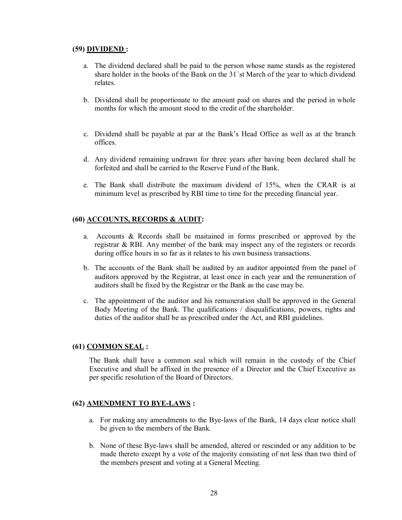# **(59) DIVIDEND :**

- a. The dividend declared shall be paid to the person whose name stands as the registered share holder in the books of the Bank on the 31`st March of the year to which dividend relates.
- b. Dividend shall be proportionate to the amount paid on shares and the period in whole months for which the amount stood to the credit of the shareholder.
- c. Dividend shall be payable at par at the Bank's Head Office as well as at the branch offices.
- d. Any dividend remaining undrawn for three years after having been declared shall be forfeited and shall be carried to the Reserve Fund of the Bank.
- e. The Bank shall distribute the maximum dividend of 15%, when the CRAR is at minimum level as prescribed by RBI time to time for the preceding financial year.

# **(60) ACCOUNTS, RECORDS & AUDIT:**

- a. Accounts & Records shall be maitained in forms prescribed or approved by the registrar & RBI. Any member of the bank may inspect any of the registers or records during office hours in so far as it relates to his own business transactions.
- b. The accounts of the Bank shall be audited by an auditor appointed from the panel of auditors approved by the Registrar, at least once in each year and the remuneration of auditors shall be fixed by the Registrar or the Bank as the case may be.
- c. The appointment of the auditor and his remuneration shall be approved in the General Body Meeting of the Bank. The qualifications / disqualifications, powers, rights and duties of the auditor shall be as prescribed under the Act, and RBI guidelines.

# **(61) COMMON SEAL :**

The Bank shall have a common seal which will remain in the custody of the Chief Executive and shall be affixed in the presence of a Director and the Chief Executive as per specific resolution of the Board of Directors.

# **(62) AMENDMENT TO BYE-LAWS :**

- a. For making any amendments to the Bye-laws of the Bank, 14 days clear notice shall be given to the members of the Bank.
- b. None of these Bye-laws shall be amended, altered or rescinded or any addition to be made thereto except by a vote of the majority consisting of not less than two third of the members present and voting at a General Meeting.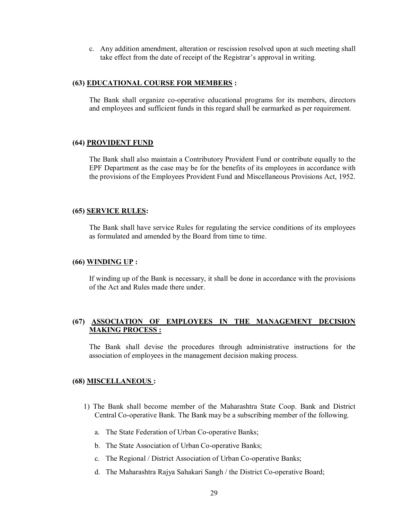c. Any addition amendment, alteration or rescission resolved upon at such meeting shall take effect from the date of receipt of the Registrar's approval in writing.

#### **(63) EDUCATIONAL COURSE FOR MEMBERS :**

The Bank shall organize co-operative educational programs for its members, directors and employees and sufficient funds in this regard shall be earmarked as per requirement.

#### **(64) PROVIDENT FUND**

The Bank shall also maintain a Contributory Provident Fund or contribute equally to the EPF Department as the case may be for the benefits of its employees in accordance with the provisions of the Employees Provident Fund and Miscellaneous Provisions Act, 1952.

#### **(65) SERVICE RULES:**

The Bank shall have service Rules for regulating the service conditions of its employees as formulated and amended by the Board from time to time.

#### **(66) WINDING UP :**

If winding up of the Bank is necessary, it shall be done in accordance with the provisions of the Act and Rules made there under.

## **(67) ASSOCIATION OF EMPLOYEES IN THE MANAGEMENT DECISION MAKING PROCESS :**

The Bank shall devise the procedures through administrative instructions for the association of employees in the management decision making process.

#### **(68) MISCELLANEOUS :**

- 1) The Bank shall become member of the Maharashtra State Coop. Bank and District Central Co-operative Bank. The Bank may be a subscribing member of the following.
	- a. The State Federation of Urban Co-operative Banks;
	- b. The State Association of Urban Co-operative Banks;
	- c. The Regional / District Association of Urban Co-operative Banks;
	- d. The Maharashtra Rajya Sahakari Sangh / the District Co-operative Board;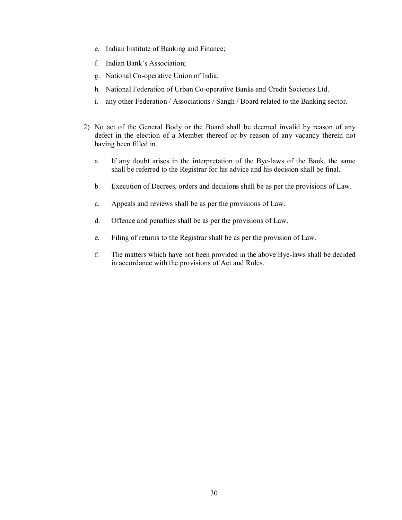- e. Indian Institute of Banking and Finance;
- f. Indian Bank's Association;
- g. National Co-operative Union of India;
- h. National Federation of Urban Co-operative Banks and Credit Societies Ltd.
- i. any other Federation / Associations / Sangh / Board related to the Banking sector.
- 2) No act of the General Body or the Board shall be deemed invalid by reason of any defect in the election of a Member thereof or by reason of any vacancy therein not having been filled in.
	- a. If any doubt arises in the interpretation of the Bye-laws of the Bank, the same shall be referred to the Registrar for his advice and his decision shall be final.
	- b. Execution of Decrees, orders and decisions shall be as per the provisions of Law.
	- c. Appeals and reviews shall be as per the provisions of Law.
	- d. Offence and penalties shall be as per the provisions of Law.
	- e. Filing of returns to the Registrar shall be as per the provision of Law.
	- f. The matters which have not been provided in the above Bye-laws shall be decided in accordance with the provisions of Act and Rules.